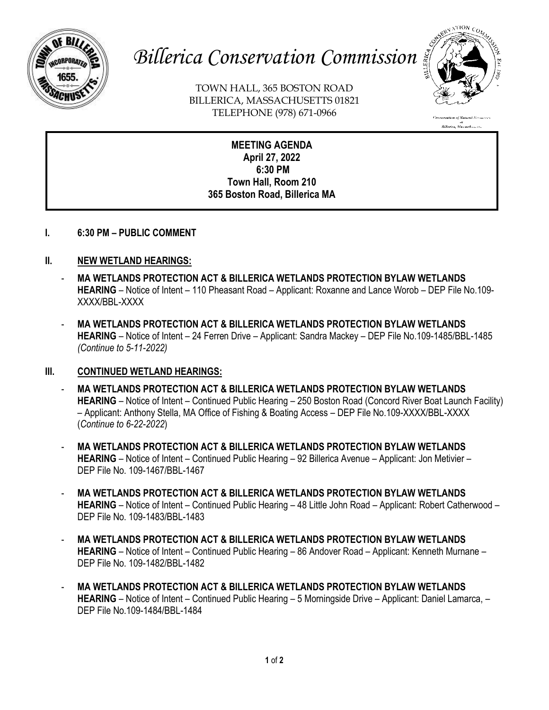

# *Billerica Conservation Commission*

TOWN HALL, 365 BOSTON ROAD BILLERICA, MASSACHUSETTS 01821 TELEPHONE (978) 671-0966



n<br>Billerica, Massachusetts

**MEETING AGENDA April 27, 2022 6:30 PM Town Hall, Room 210 365 Boston Road, Billerica MA**

**I. 6:30 PM – PUBLIC COMMENT**

## **II. NEW WETLAND HEARINGS:**

- **MA WETLANDS PROTECTION ACT & BILLERICA WETLANDS PROTECTION BYLAW WETLANDS HEARING** – Notice of Intent – 110 Pheasant Road – Applicant: Roxanne and Lance Worob – DEP File No.109- XXXX/BBL-XXXX
- **MA WETLANDS PROTECTION ACT & BILLERICA WETLANDS PROTECTION BYLAW WETLANDS HEARING** – Notice of Intent – 24 Ferren Drive – Applicant: Sandra Mackey – DEP File No.109-1485/BBL-1485 *(Continue to 5-11-2022)*

## **III. CONTINUED WETLAND HEARINGS:**

- **MA WETLANDS PROTECTION ACT & BILLERICA WETLANDS PROTECTION BYLAW WETLANDS HEARING** – Notice of Intent – Continued Public Hearing – 250 Boston Road (Concord River Boat Launch Facility) – Applicant: Anthony Stella, MA Office of Fishing & Boating Access – DEP File No.109-XXXX/BBL-XXXX (*Continue to 6-22-2022*)
- **MA WETLANDS PROTECTION ACT & BILLERICA WETLANDS PROTECTION BYLAW WETLANDS HEARING** – Notice of Intent – Continued Public Hearing – 92 Billerica Avenue – Applicant: Jon Metivier – DEP File No. 109-1467/BBL-1467
- **MA WETLANDS PROTECTION ACT & BILLERICA WETLANDS PROTECTION BYLAW WETLANDS HEARING** – Notice of Intent – Continued Public Hearing – 48 Little John Road – Applicant: Robert Catherwood – DEP File No. 109-1483/BBL-1483
- **MA WETLANDS PROTECTION ACT & BILLERICA WETLANDS PROTECTION BYLAW WETLANDS HEARING** – Notice of Intent – Continued Public Hearing – 86 Andover Road – Applicant: Kenneth Murnane – DEP File No. 109-1482/BBL-1482
- **MA WETLANDS PROTECTION ACT & BILLERICA WETLANDS PROTECTION BYLAW WETLANDS HEARING** – Notice of Intent – Continued Public Hearing – 5 Morningside Drive – Applicant: Daniel Lamarca, – DEP File No.109-1484/BBL-1484